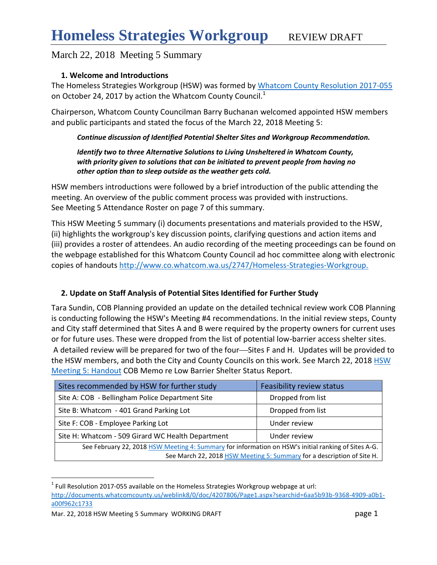### **1. Welcome and Introductions**

The Homeless Strategies Workgroup (HSW) was formed by [Whatcom County Resolution 2017-055](http://documents.whatcomcounty.us/weblink8/0/doc/4207806/Page1.aspx?searchid=6aa5b93b-9368-4909-a0b1-a00f962c1733) on October 24, 2017 by action the Whatcom County Council.<sup>1</sup>

Chairperson, Whatcom County Councilman Barry Buchanan welcomed appointed HSW members and public participants and stated the focus of the March 22, 2018 Meeting 5:

#### *Continue discussion of Identified Potential Shelter Sites and Workgroup Recommendation.*

#### *Identify two to three Alternative Solutions to Living Unsheltered in Whatcom County, with priority given to solutions that can be initiated to prevent people from having no other option than to sleep outside as the weather gets cold.*

HSW members introductions were followed by a brief introduction of the public attending the meeting. An overview of the public comment process was provided with instructions. See Meeting 5 Attendance Roster on page 7 of this summary.

This HSW Meeting 5 summary (i) documents presentations and materials provided to the HSW, (ii) highlights the workgroup's key discussion points, clarifying questions and action items and (iii) provides a roster of attendees. An audio recording of the meeting proceedings can be found on the webpage established for this Whatcom County Council ad hoc committee along with electronic copies of handouts <http://www.co.whatcom.wa.us/2747/Homeless-Strategies-Workgroup.>

### **2. Update on Staff Analysis of Potential Sites Identified for Further Study**

Tara Sundin, COB Planning provided an update on the detailed technical review work COB Planning is conducting following the HSW's Meeting #4 recommendations. In the initial review steps, County and City staff determined that Sites A and B were required by the property owners for current uses or for future uses. These were dropped from the list of potential low-barrier access shelter sites. A detailed review will be prepared for two of the four-Sites F and H. Updates will be provided to the [HSW](http://www.co.whatcom.wa.us/2747/Homeless-Strategies-Workgroup) members, and both the City and County Councils on this work. See March 22, 2018 HSW [Meeting 5: Handout](http://www.co.whatcom.wa.us/2747/Homeless-Strategies-Workgroup) COB Memo re Low Barrier Shelter Status Report.

| Sites recommended by HSW for further study                                                          | Feasibility review status |  |  |  |  |
|-----------------------------------------------------------------------------------------------------|---------------------------|--|--|--|--|
| Site A: COB - Bellingham Police Department Site                                                     | Dropped from list         |  |  |  |  |
| Site B: Whatcom - 401 Grand Parking Lot                                                             | Dropped from list         |  |  |  |  |
| Site F: COB - Employee Parking Lot                                                                  | Under review              |  |  |  |  |
| Site H: Whatcom - 509 Girard WC Health Department                                                   | Under review              |  |  |  |  |
| See February 22, 2018 HSW Meeting 4: Summary for information on HSW's initial ranking of Sites A-G. |                           |  |  |  |  |

See March 22, 2018 [HSW Meeting 5: Summary](http://www.co.whatcom.wa.us/2747/Homeless-Strategies-Workgroup) for a description of Site H.

 $\overline{a}$ 

 $1$  Full Resolution 2017-055 available on the Homeless Strategies Workgroup webpage at url:

[http://documents.whatcomcounty.us/weblink8/0/doc/4207806/Page1.aspx?searchid=6aa5b93b-9368-4909-a0b1](http://documents.whatcomcounty.us/weblink8/0/doc/4207806/Page1.aspx?searchid=6aa5b93b-9368-4909-a0b1-a00f962c1733) [a00f962c1733](http://documents.whatcomcounty.us/weblink8/0/doc/4207806/Page1.aspx?searchid=6aa5b93b-9368-4909-a0b1-a00f962c1733)

Mar. 22, 2018 HSW Meeting 5 Summary WORKING DRAFT **page 1** page 1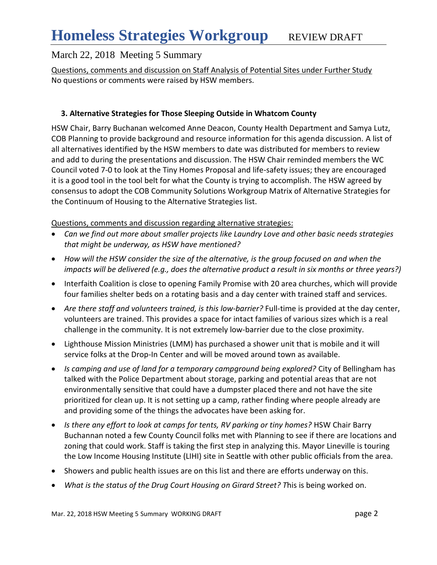Questions, comments and discussion on Staff Analysis of Potential Sites under Further Study No questions or comments were raised by HSW members.

### **3. Alternative Strategies for Those Sleeping Outside in Whatcom County**

HSW Chair, Barry Buchanan welcomed Anne Deacon, County Health Department and Samya Lutz, COB Planning to provide background and resource information for this agenda discussion. A list of all alternatives identified by the HSW members to date was distributed for members to review and add to during the presentations and discussion. The HSW Chair reminded members the WC Council voted 7-0 to look at the Tiny Homes Proposal and life-safety issues; they are encouraged it is a good tool in the tool belt for what the County is trying to accomplish. The HSW agreed by consensus to adopt the COB Community Solutions Workgroup Matrix of Alternative Strategies for the Continuum of Housing to the Alternative Strategies list.

#### Questions, comments and discussion regarding alternative strategies:

- *Can we find out more about smaller projects like Laundry Love and other basic needs strategies that might be underway, as HSW have mentioned?*
- *How will the HSW consider the size of the alternative, is the group focused on and when the impacts will be delivered (e.g., does the alternative product a result in six months or three years?)*
- Interfaith Coalition is close to opening Family Promise with 20 area churches, which will provide four families shelter beds on a rotating basis and a day center with trained staff and services.
- *Are there staff and volunteers trained, is this low-barrier?* Full-time is provided at the day center, volunteers are trained. This provides a space for intact families of various sizes which is a real challenge in the community. It is not extremely low-barrier due to the close proximity.
- Lighthouse Mission Ministries (LMM) has purchased a shower unit that is mobile and it will service folks at the Drop-In Center and will be moved around town as available.
- *Is camping and use of land for a temporary campground being explored?* City of Bellingham has talked with the Police Department about storage, parking and potential areas that are not environmentally sensitive that could have a dumpster placed there and not have the site prioritized for clean up. It is not setting up a camp, rather finding where people already are and providing some of the things the advocates have been asking for.
- **•** Is there any effort to look at camps for tents, RV parking or tiny homes? HSW Chair Barry Buchannan noted a few County Council folks met with Planning to see if there are locations and zoning that could work. Staff is taking the first step in analyzing this. Mayor Lineville is touring the Low Income Housing Institute (LIHI) site in Seattle with other public officials from the area.
- Showers and public health issues are on this list and there are efforts underway on this.
- *What is the status of the Drug Court Housing on Girard Street? T*his is being worked on.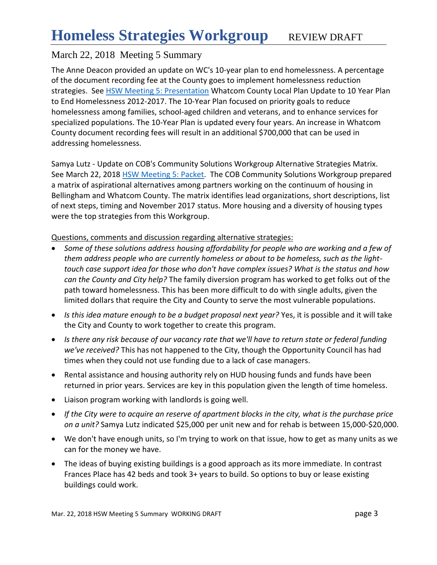The Anne Deacon provided an update on WC's 10-year plan to end homelessness. A percentage of the document recording fee at the County goes to implement homelessness reduction strategies. See [HSW Meeting 5: Presentation](http://www.co.whatcom.wa.us/2747/Homeless-Strategies-Workgroup) Whatcom County Local Plan Update to 10 Year Plan to End Homelessness 2012-2017. The 10-Year Plan focused on priority goals to reduce homelessness among families, school-aged children and veterans, and to enhance services for specialized populations. The 10-Year Plan is updated every four years. An increase in Whatcom County document recording fees will result in an additional \$700,000 that can be used in addressing homelessness.

Samya Lutz - Update on COB's Community Solutions Workgroup Alternative Strategies Matrix. See March 22, 2018 [HSW Meeting 5: Packet.](http://www.co.whatcom.wa.us/2747/Homeless-Strategies-Workgroup) The COB Community Solutions Workgroup prepared a matrix of aspirational alternatives among partners working on the continuum of housing in Bellingham and Whatcom County. The matrix identifies lead organizations, short descriptions, list of next steps, timing and November 2017 status. More housing and a diversity of housing types were the top strategies from this Workgroup.

Questions, comments and discussion regarding alternative strategies:

- *Some of these solutions address housing affordability for people who are working and a few of them address people who are currently homeless or about to be homeless, such as the lighttouch case support idea for those who don't have complex issues? What is the status and how can the County and City help?* The family diversion program has worked to get folks out of the path toward homelessness. This has been more difficult to do with single adults, given the limited dollars that require the City and County to serve the most vulnerable populations.
- *Is this idea mature enough to be a budget proposal next year?* Yes, it is possible and it will take the City and County to work together to create this program.
- *Is there any risk because of our vacancy rate that we'll have to return state or federal funding we've received?* This has not happened to the City, though the Opportunity Council has had times when they could not use funding due to a lack of case managers.
- Rental assistance and housing authority rely on HUD housing funds and funds have been returned in prior years. Services are key in this population given the length of time homeless.
- Liaison program working with landlords is going well.
- *If the City were to acquire an reserve of apartment blocks in the city, what is the purchase price on a unit?* Samya Lutz indicated \$25,000 per unit new and for rehab is between 15,000-\$20,000.
- We don't have enough units, so I'm trying to work on that issue, how to get as many units as we can for the money we have.
- The ideas of buying existing buildings is a good approach as its more immediate. In contrast Frances Place has 42 beds and took 3+ years to build. So options to buy or lease existing buildings could work.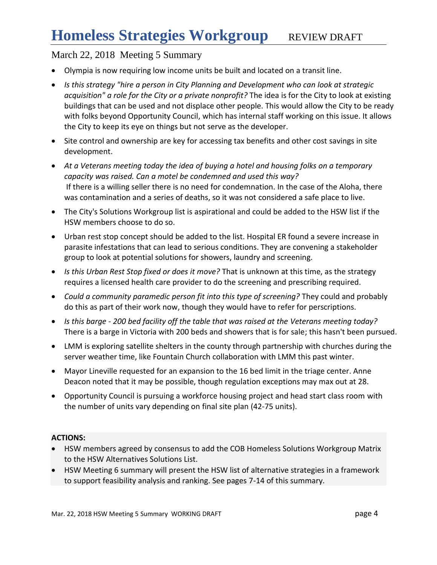- Olympia is now requiring low income units be built and located on a transit line.
- *Is this strategy "hire a person in City Planning and Development who can look at strategic acquisition" a role for the City or a private nonprofit?* The idea is for the City to look at existing buildings that can be used and not displace other people. This would allow the City to be ready with folks beyond Opportunity Council, which has internal staff working on this issue. It allows the City to keep its eye on things but not serve as the developer.
- Site control and ownership are key for accessing tax benefits and other cost savings in site development.
- *At a Veterans meeting today the idea of buying a hotel and housing folks on a temporary capacity was raised. Can a motel be condemned and used this way?* If there is a willing seller there is no need for condemnation. In the case of the Aloha, there was contamination and a series of deaths, so it was not considered a safe place to live.
- The City's Solutions Workgroup list is aspirational and could be added to the HSW list if the HSW members choose to do so.
- Urban rest stop concept should be added to the list. Hospital ER found a severe increase in parasite infestations that can lead to serious conditions. They are convening a stakeholder group to look at potential solutions for showers, laundry and screening.
- *Is this Urban Rest Stop fixed or does it move?* That is unknown at this time, as the strategy requires a licensed health care provider to do the screening and prescribing required.
- *Could a community paramedic person fit into this type of screening?* They could and probably do this as part of their work now, though they would have to refer for perscriptions.
- *Is this barge - 200 bed facility off the table that was raised at the Veterans meeting today?*  There is a barge in Victoria with 200 beds and showers that is for sale; this hasn't been pursued.
- LMM is exploring satellite shelters in the county through partnership with churches during the server weather time, like Fountain Church collaboration with LMM this past winter.
- Mayor Lineville requested for an expansion to the 16 bed limit in the triage center. Anne Deacon noted that it may be possible, though regulation exceptions may max out at 28.
- Opportunity Council is pursuing a workforce housing project and head start class room with the number of units vary depending on final site plan (42-75 units).

### **ACTIONS:**

- HSW members agreed by consensus to add the COB Homeless Solutions Workgroup Matrix to the HSW Alternatives Solutions List.
- HSW Meeting 6 summary will present the HSW list of alternative strategies in a framework to support feasibility analysis and ranking. See pages 7-14 of this summary.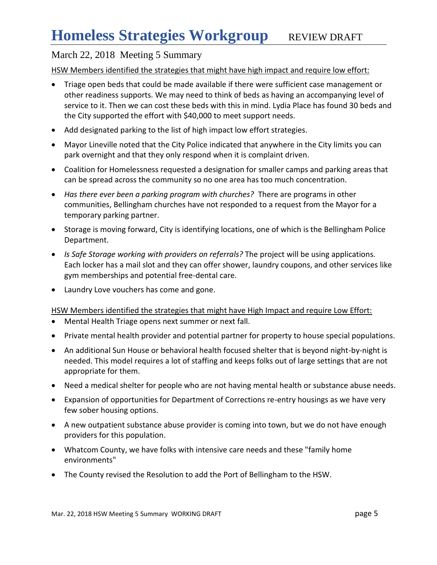HSW Members identified the strategies that might have high impact and require low effort:

- Triage open beds that could be made available if there were sufficient case management or other readiness supports. We may need to think of beds as having an accompanying level of service to it. Then we can cost these beds with this in mind. Lydia Place has found 30 beds and the City supported the effort with \$40,000 to meet support needs.
- Add designated parking to the list of high impact low effort strategies.
- Mayor Lineville noted that the City Police indicated that anywhere in the City limits you can park overnight and that they only respond when it is complaint driven.
- Coalition for Homelessness requested a designation for smaller camps and parking areas that can be spread across the community so no one area has too much concentration.
- *Has there ever been a parking program with churches?* There are programs in other communities, Bellingham churches have not responded to a request from the Mayor for a temporary parking partner.
- Storage is moving forward, City is identifying locations, one of which is the Bellingham Police Department.
- *Is Safe Storage working with providers on referrals?* The project will be using applications. Each locker has a mail slot and they can offer shower, laundry coupons, and other services like gym memberships and potential free-dental care.
- Laundry Love vouchers has come and gone.

HSW Members identified the strategies that might have High Impact and require Low Effort:

- Mental Health Triage opens next summer or next fall.
- Private mental health provider and potential partner for property to house special populations.
- An additional Sun House or behavioral health focused shelter that is beyond night-by-night is needed. This model requires a lot of staffing and keeps folks out of large settings that are not appropriate for them.
- Need a medical shelter for people who are not having mental health or substance abuse needs.
- Expansion of opportunities for Department of Corrections re-entry housings as we have very few sober housing options.
- A new outpatient substance abuse provider is coming into town, but we do not have enough providers for this population.
- Whatcom County, we have folks with intensive care needs and these "family home environments"
- The County revised the Resolution to add the Port of Bellingham to the HSW.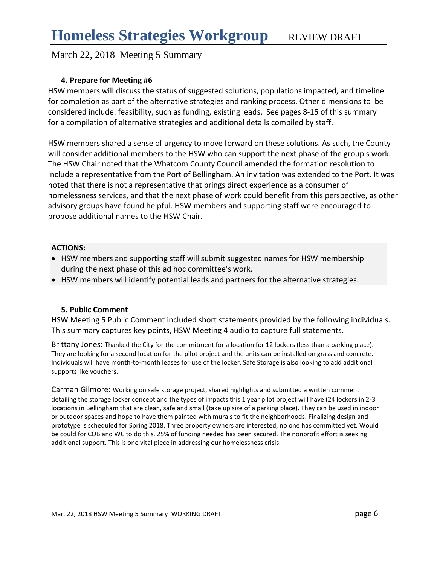#### **4. Prepare for Meeting #6**

HSW members will discuss the status of suggested solutions, populations impacted, and timeline for completion as part of the alternative strategies and ranking process. Other dimensions to be considered include: feasibility, such as funding, existing leads. See pages 8-15 of this summary for a compilation of alternative strategies and additional details compiled by staff.

HSW members shared a sense of urgency to move forward on these solutions. As such, the County will consider additional members to the HSW who can support the next phase of the group's work. The HSW Chair noted that the Whatcom County Council amended the formation resolution to include a representative from the Port of Bellingham. An invitation was extended to the Port. It was noted that there is not a representative that brings direct experience as a consumer of homelessness services, and that the next phase of work could benefit from this perspective, as other advisory groups have found helpful. HSW members and supporting staff were encouraged to propose additional names to the HSW Chair.

#### **ACTIONS:**

- HSW members and supporting staff will submit suggested names for HSW membership during the next phase of this ad hoc committee's work.
- HSW members will identify potential leads and partners for the alternative strategies.

#### **5. Public Comment**

HSW Meeting 5 Public Comment included short statements provided by the following individuals. This summary captures key points, HSW Meeting 4 audio to capture full statements.

Brittany Jones: Thanked the City for the commitment for a location for 12 lockers (less than a parking place). They are looking for a second location for the pilot project and the units can be installed on grass and concrete. Individuals will have month-to-month leases for use of the locker. Safe Storage is also looking to add additional supports like vouchers.

Carman Gilmore: Working on safe storage project, shared highlights and submitted a written comment detailing the storage locker concept and the types of impacts this 1 year pilot project will have (24 lockers in 2-3 locations in Bellingham that are clean, safe and small (take up size of a parking place). They can be used in indoor or outdoor spaces and hope to have them painted with murals to fit the neighborhoods. Finalizing design and prototype is scheduled for Spring 2018. Three property owners are interested, no one has committed yet. Would be could for COB and WC to do this. 25% of funding needed has been secured. The nonprofit effort is seeking additional support. This is one vital piece in addressing our homelessness crisis.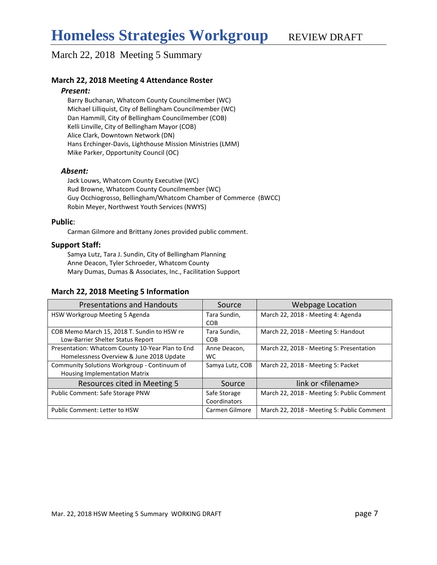#### **March 22, 2018 Meeting 4 Attendance Roster**

#### *Present:*

Barry Buchanan, Whatcom County Councilmember (WC) Michael Lilliquist, City of Bellingham Councilmember (WC) Dan Hammill, City of Bellingham Councilmember (COB) Kelli Linville, City of Bellingham Mayor (COB) Alice Clark, Downtown Network (DN) Hans Erchinger-Davis, Lighthouse Mission Ministries (LMM) Mike Parker, Opportunity Council (OC)

#### *Absent:*

Jack Louws, Whatcom County Executive (WC) Rud Browne, Whatcom County Councilmember (WC) Guy Occhiogrosso, Bellingham/Whatcom Chamber of Commerce (BWCC) Robin Meyer, Northwest Youth Services (NWYS)

#### **Public**:

,

Carman Gilmore and Brittany Jones provided public comment.

#### **Support Staff:**

Samya Lutz, Tara J. Sundin, City of Bellingham Planning Anne Deacon, Tyler Schroeder, Whatcom County Mary Dumas, Dumas & Associates, Inc., Facilitation Support

#### **March 22, 2018 Meeting 5 Information**

| <b>Presentations and Handouts</b>                | Source          | Webpage Location                           |
|--------------------------------------------------|-----------------|--------------------------------------------|
| HSW Workgroup Meeting 5 Agenda                   | Tara Sundin,    | March 22, 2018 - Meeting 4: Agenda         |
|                                                  | <b>COB</b>      |                                            |
| COB Memo March 15, 2018 T. Sundin to HSW re      | Tara Sundin,    | March 22, 2018 - Meeting 5: Handout        |
| Low-Barrier Shelter Status Report                | <b>COB</b>      |                                            |
| Presentation: Whatcom County 10-Year Plan to End | Anne Deacon,    | March 22, 2018 - Meeting 5: Presentation   |
| Homelessness Overview & June 2018 Update         | WC.             |                                            |
| Community Solutions Workgroup - Continuum of     | Samya Lutz, COB | March 22, 2018 - Meeting 5: Packet         |
| <b>Housing Implementation Matrix</b>             |                 |                                            |
| Resources cited in Meeting 5                     | Source          | link or <filename></filename>              |
| Public Comment: Safe Storage PNW                 | Safe Storage    | March 22, 2018 - Meeting 5: Public Comment |
|                                                  | Coordinators    |                                            |
| Public Comment: Letter to HSW                    | Carmen Gilmore  | March 22, 2018 - Meeting 5: Public Comment |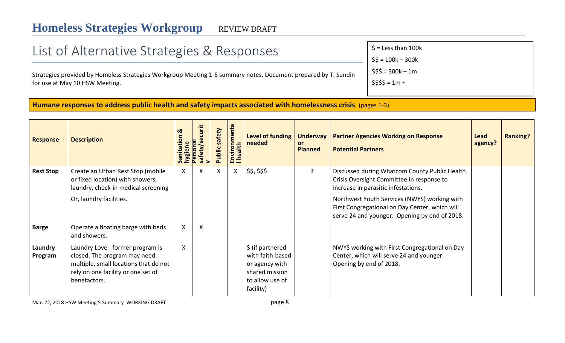# List of Alternative Strategies & Responses

Strategies provided by Homeless Strategies Workgroup Meeting 1-5 summary notes. Document prepared by T. Sundin for use at May 10 HSW Meeting.

 $$ =$  Less than 100 $k$  $$5 = 100k - 300k$  $$55 = 300k - 1m$  $$555 = 1m +$ 

**\*** Strategy suggested by

Workgroup in Fall 2017.

**Humane responses to address public health and safety impacts associated with homelessness crisis** (pages 1-3)

| <b>Response</b>    | <b>Description</b>                                                                                                                                              | Ø<br>atio<br>nygiene | curit<br>ပ္တ<br>Persona<br>safety/ | safety<br><b>Public</b> | Environmenta<br>I health | Level of funding<br>needed                                                                               | <b>Underway</b><br><b>or</b><br><b>Planned</b> | <b>Partner Agencies Working on Response</b><br><b>Potential Partners</b>                                                                                                                                                                                                             | Lead<br>agency? | <b>Ranking?</b> |
|--------------------|-----------------------------------------------------------------------------------------------------------------------------------------------------------------|----------------------|------------------------------------|-------------------------|--------------------------|----------------------------------------------------------------------------------------------------------|------------------------------------------------|--------------------------------------------------------------------------------------------------------------------------------------------------------------------------------------------------------------------------------------------------------------------------------------|-----------------|-----------------|
| <b>Rest Stop</b>   | Create an Urban Rest Stop (mobile<br>or fixed location) with showers,<br>laundry, check-in medical screening<br>Or, laundry facilities.                         | X.                   | X                                  | X                       | $\mathsf{X}$             | \$\$, \$\$\$                                                                                             |                                                | Discussed during Whatcom County Public Health<br>Crisis Oversight Committee in response to<br>increase in parasitic infestations.<br>Northwest Youth Services (NWYS) working with<br>First Congregational on Day Center, which will<br>serve 24 and younger. Opening by end of 2018. |                 |                 |
| <b>Barge</b>       | Operate a floating barge with beds<br>and showers.                                                                                                              | X.                   | X                                  |                         |                          |                                                                                                          |                                                |                                                                                                                                                                                                                                                                                      |                 |                 |
| Laundry<br>Program | Laundry Love - former program is<br>closed. The program may need<br>multiple, small locations that do not<br>rely on one facility or one set of<br>benefactors. | X                    |                                    |                         |                          | \$ (if partnered<br>with faith-based<br>or agency with<br>shared mission<br>to allow use of<br>facility) |                                                | NWYS working with First Congregational on Day<br>Center, which will serve 24 and younger.<br>Opening by end of 2018.                                                                                                                                                                 |                 |                 |

Mar. 22, 2018 HSW Meeting 5 Summary WORKING DRAFT **page 8**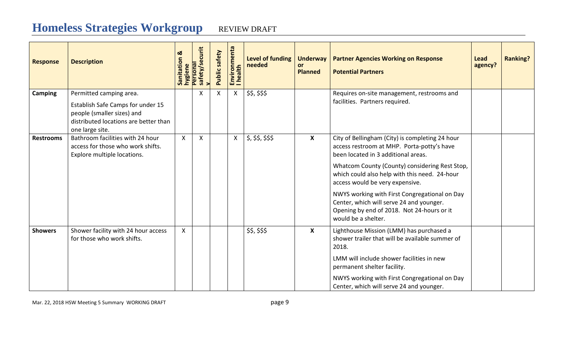| <b>Response</b>  | <b>Description</b>                                                                                                                                     | ಯ<br>Sanitation<br>hygiene | ecurit<br>Personal<br>safety/s | Public safety | Environmenta<br>I health  | Level of funding<br>needed | <b>Underway</b><br><b>or</b><br><b>Planned</b> | <b>Partner Agencies Working on Response</b><br><b>Potential Partners</b>                                                                                                                                                                                                                                                                                                                                                                     | Lead<br>agency? | <b>Ranking?</b> |
|------------------|--------------------------------------------------------------------------------------------------------------------------------------------------------|----------------------------|--------------------------------|---------------|---------------------------|----------------------------|------------------------------------------------|----------------------------------------------------------------------------------------------------------------------------------------------------------------------------------------------------------------------------------------------------------------------------------------------------------------------------------------------------------------------------------------------------------------------------------------------|-----------------|-----------------|
| <b>Camping</b>   | Permitted camping area.<br>Establish Safe Camps for under 15<br>people (smaller sizes) and<br>distributed locations are better than<br>one large site. |                            | X                              | X             | $\boldsymbol{\mathsf{X}}$ | \$\$, \$\$\$               |                                                | Requires on-site management, restrooms and<br>facilities. Partners required.                                                                                                                                                                                                                                                                                                                                                                 |                 |                 |
| <b>Restrooms</b> | Bathroom facilities with 24 hour<br>access for those who work shifts.<br>Explore multiple locations.                                                   | $\mathsf{X}$               | $\mathsf{X}$                   |               | $\pmb{\mathsf{X}}$        | \$, \$\$, \$\$, \$\$       | X                                              | City of Bellingham (City) is completing 24 hour<br>access restroom at MHP. Porta-potty's have<br>been located in 3 additional areas.<br>Whatcom County (County) considering Rest Stop,<br>which could also help with this need. 24-hour<br>access would be very expensive.<br>NWYS working with First Congregational on Day<br>Center, which will serve 24 and younger.<br>Opening by end of 2018. Not 24-hours or it<br>would be a shelter. |                 |                 |
| <b>Showers</b>   | Shower facility with 24 hour access<br>for those who work shifts.                                                                                      | $\mathsf{X}$               |                                |               |                           | \$\$, \$\$\$               | $\boldsymbol{\mathsf{X}}$                      | Lighthouse Mission (LMM) has purchased a<br>shower trailer that will be available summer of<br>2018.<br>LMM will include shower facilities in new<br>permanent shelter facility.<br>NWYS working with First Congregational on Day<br>Center, which will serve 24 and younger.                                                                                                                                                                |                 |                 |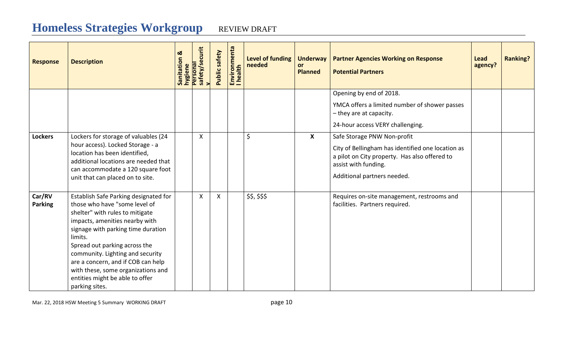| <b>Response</b>          | <b>Description</b>                                                                                                                                                                                                                                                                                                                                                                                 | ಹ<br>Sanitation | hygiene<br>Personal<br>safety/securit<br>v | Public safety | Environmenta<br>I health | <b>Level of funding</b><br>needed | <b>Underway</b><br><b>or</b><br><b>Planned</b> | <b>Partner Agencies Working on Response</b><br><b>Potential Partners</b>                                                   | <b>Lead</b><br>agency? | <b>Ranking?</b> |
|--------------------------|----------------------------------------------------------------------------------------------------------------------------------------------------------------------------------------------------------------------------------------------------------------------------------------------------------------------------------------------------------------------------------------------------|-----------------|--------------------------------------------|---------------|--------------------------|-----------------------------------|------------------------------------------------|----------------------------------------------------------------------------------------------------------------------------|------------------------|-----------------|
|                          |                                                                                                                                                                                                                                                                                                                                                                                                    |                 |                                            |               |                          |                                   |                                                | Opening by end of 2018.                                                                                                    |                        |                 |
|                          |                                                                                                                                                                                                                                                                                                                                                                                                    |                 |                                            |               |                          |                                   |                                                | YMCA offers a limited number of shower passes<br>- they are at capacity.                                                   |                        |                 |
|                          |                                                                                                                                                                                                                                                                                                                                                                                                    |                 |                                            |               |                          |                                   |                                                | 24-hour access VERY challenging.                                                                                           |                        |                 |
| <b>Lockers</b>           | Lockers for storage of valuables (24                                                                                                                                                                                                                                                                                                                                                               |                 | $\boldsymbol{\mathsf{X}}$                  |               |                          | $\zeta$                           | $\mathsf{X}$                                   | Safe Storage PNW Non-profit                                                                                                |                        |                 |
|                          | hour access). Locked Storage - a<br>location has been identified,<br>additional locations are needed that<br>can accommodate a 120 square foot                                                                                                                                                                                                                                                     |                 |                                            |               |                          |                                   |                                                | City of Bellingham has identified one location as<br>a pilot on City property. Has also offered to<br>assist with funding. |                        |                 |
|                          | unit that can placed on to site.                                                                                                                                                                                                                                                                                                                                                                   |                 |                                            |               |                          |                                   |                                                | Additional partners needed.                                                                                                |                        |                 |
| Car/RV<br><b>Parking</b> | Establish Safe Parking designated for<br>those who have "some level of<br>shelter" with rules to mitigate<br>impacts, amenities nearby with<br>signage with parking time duration<br>limits.<br>Spread out parking across the<br>community. Lighting and security<br>are a concern, and if COB can help<br>with these, some organizations and<br>entities might be able to offer<br>parking sites. |                 | $\boldsymbol{\mathsf{X}}$                  | X             |                          | \$\$, \$\$\$                      |                                                | Requires on-site management, restrooms and<br>facilities. Partners required.                                               |                        |                 |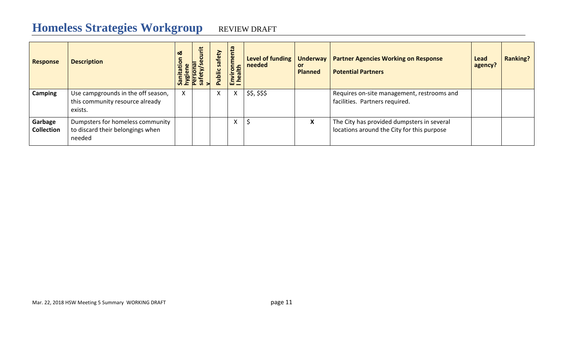## **Homeless Strategies Workgroup**

| <b>REVIEW DRAFT</b> |
|---------------------|
|                     |

| <b>Response</b>              | <b>Description</b>                                                               | ಹ<br>ation | စု | safety<br>ublic | menta<br>noni<br>alth<br>Enviro<br>I heal | Level of funding<br>needed | Underway  <br><b>or</b><br><b>Planned</b> | <b>Partner Agencies Working on Response</b><br><b>Potential Partners</b>                 | Lead<br>agency? | <b>Ranking?</b> |
|------------------------------|----------------------------------------------------------------------------------|------------|----|-----------------|-------------------------------------------|----------------------------|-------------------------------------------|------------------------------------------------------------------------------------------|-----------------|-----------------|
| Camping                      | Use campgrounds in the off season,<br>this community resource already<br>exists. |            |    | X               | A                                         | \$\$, \$\$\$               |                                           | Requires on-site management, restrooms and<br>facilities. Partners required.             |                 |                 |
| Garbage<br><b>Collection</b> | Dumpsters for homeless community<br>to discard their belongings when<br>needed   |            |    |                 | $\mathbf{v}$<br>v                         |                            | X                                         | The City has provided dumpsters in several<br>locations around the City for this purpose |                 |                 |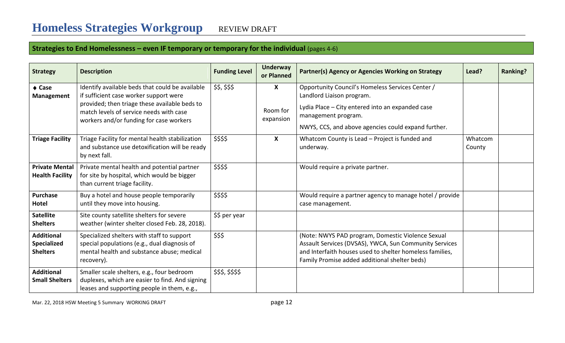## **Strategies to End Homelessness – even IF temporary or temporary for the individual** (pages 4-6)

| <b>Strategy</b>                                            | <b>Description</b>                                                                                                                                                                                                               | <b>Funding Level</b> | <b>Underway</b><br>or Planned             | Partner(s) Agency or Agencies Working on Strategy                                                                                                                                                                        | Lead?             | <b>Ranking?</b> |
|------------------------------------------------------------|----------------------------------------------------------------------------------------------------------------------------------------------------------------------------------------------------------------------------------|----------------------|-------------------------------------------|--------------------------------------------------------------------------------------------------------------------------------------------------------------------------------------------------------------------------|-------------------|-----------------|
| $\triangle$ Case<br><b>Management</b>                      | Identify available beds that could be available<br>if sufficient case worker support were<br>provided; then triage these available beds to<br>match levels of service needs with case<br>workers and/or funding for case workers | \$\$, \$\$\$         | $\boldsymbol{X}$<br>Room for<br>expansion | Opportunity Council's Homeless Services Center /<br>Landlord Liaison program.<br>Lydia Place - City entered into an expanded case<br>management program.<br>NWYS, CCS, and above agencies could expand further.          |                   |                 |
| <b>Triage Facility</b>                                     | Triage Facility for mental health stabilization<br>and substance use detoxification will be ready<br>by next fall.                                                                                                               | \$\$\$\$             | $\boldsymbol{X}$                          | Whatcom County is Lead - Project is funded and<br>underway.                                                                                                                                                              | Whatcom<br>County |                 |
| <b>Private Mental</b><br><b>Health Facility</b>            | Private mental health and potential partner<br>for site by hospital, which would be bigger<br>than current triage facility.                                                                                                      | \$\$\$\$             |                                           | Would require a private partner.                                                                                                                                                                                         |                   |                 |
| <b>Purchase</b><br><b>Hotel</b>                            | Buy a hotel and house people temporarily<br>until they move into housing.                                                                                                                                                        | \$\$\$\$             |                                           | Would require a partner agency to manage hotel / provide<br>case management.                                                                                                                                             |                   |                 |
| <b>Satellite</b><br><b>Shelters</b>                        | Site county satellite shelters for severe<br>weather (winter shelter closed Feb. 28, 2018).                                                                                                                                      | \$\$ per year        |                                           |                                                                                                                                                                                                                          |                   |                 |
| <b>Additional</b><br><b>Specialized</b><br><b>Shelters</b> | Specialized shelters with staff to support<br>special populations (e.g., dual diagnosis of<br>mental health and substance abuse; medical<br>recovery).                                                                           | \$\$\$               |                                           | (Note: NWYS PAD program, Domestic Violence Sexual<br>Assault Services (DVSAS), YWCA, Sun Community Services<br>and Interfaith houses used to shelter homeless families,<br>Family Promise added additional shelter beds) |                   |                 |
| <b>Additional</b><br><b>Small Shelters</b>                 | Smaller scale shelters, e.g., four bedroom<br>duplexes, which are easier to find. And signing<br>leases and supporting people in them, e.g.,                                                                                     | \$\$\$, \$\$\$\$     |                                           |                                                                                                                                                                                                                          |                   |                 |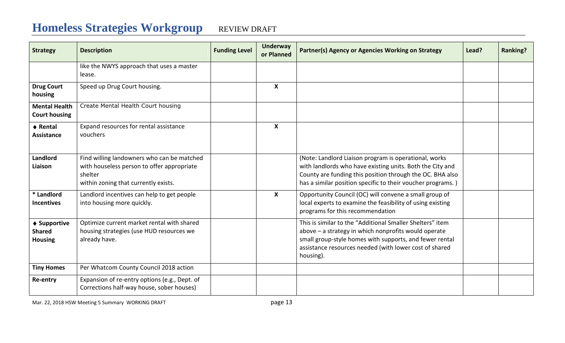| <b>Strategy</b>                                 | <b>Description</b>                                                                                                                          | <b>Funding Level</b> | <b>Underway</b><br>or Planned | Partner(s) Agency or Agencies Working on Strategy                                                                                                                                                                                                   | Lead? | <b>Ranking?</b> |
|-------------------------------------------------|---------------------------------------------------------------------------------------------------------------------------------------------|----------------------|-------------------------------|-----------------------------------------------------------------------------------------------------------------------------------------------------------------------------------------------------------------------------------------------------|-------|-----------------|
|                                                 | like the NWYS approach that uses a master<br>lease.                                                                                         |                      |                               |                                                                                                                                                                                                                                                     |       |                 |
| <b>Drug Court</b><br>housing                    | Speed up Drug Court housing.                                                                                                                |                      | $\boldsymbol{X}$              |                                                                                                                                                                                                                                                     |       |                 |
| <b>Mental Health</b><br><b>Court housing</b>    | Create Mental Health Court housing                                                                                                          |                      |                               |                                                                                                                                                                                                                                                     |       |                 |
| ♦ Rental<br><b>Assistance</b>                   | Expand resources for rental assistance<br>vouchers                                                                                          |                      | $\boldsymbol{X}$              |                                                                                                                                                                                                                                                     |       |                 |
| Landlord<br>Liaison                             | Find willing landowners who can be matched<br>with houseless person to offer appropriate<br>shelter<br>within zoning that currently exists. |                      |                               | (Note: Landlord Liaison program is operational, works<br>with landlords who have existing units. Both the City and<br>County are funding this position through the OC. BHA also<br>has a similar position specific to their voucher programs.)      |       |                 |
| * Landlord<br><b>Incentives</b>                 | Landlord incentives can help to get people<br>into housing more quickly.                                                                    |                      | $\boldsymbol{\mathsf{x}}$     | Opportunity Council (OC) will convene a small group of<br>local experts to examine the feasibility of using existing<br>programs for this recommendation                                                                                            |       |                 |
| ◆ Supportive<br><b>Shared</b><br><b>Housing</b> | Optimize current market rental with shared<br>housing strategies (use HUD resources we<br>already have.                                     |                      |                               | This is similar to the "Additional Smaller Shelters" item<br>above - a strategy in which nonprofits would operate<br>small group-style homes with supports, and fewer rental<br>assistance resources needed (with lower cost of shared<br>housing). |       |                 |
| <b>Tiny Homes</b>                               | Per Whatcom County Council 2018 action                                                                                                      |                      |                               |                                                                                                                                                                                                                                                     |       |                 |
| Re-entry                                        | Expansion of re-entry options (e.g., Dept. of<br>Corrections half-way house, sober houses)                                                  |                      |                               |                                                                                                                                                                                                                                                     |       |                 |

Mar. 22, 2018 HSW Meeting 5 Summary WORKING DRAFT **page 13** page 13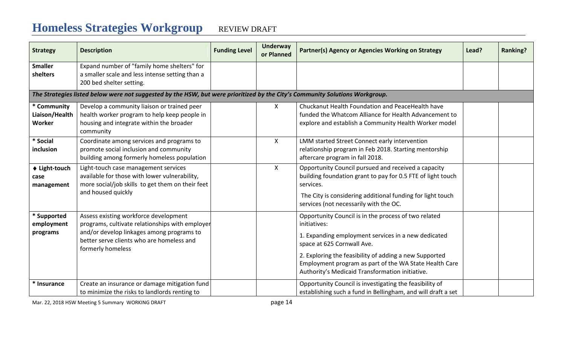| <b>Strategy</b>                         | <b>Description</b>                                                                                                                                                                                      | <b>Funding Level</b> | <b>Underway</b><br>or Planned | Partner(s) Agency or Agencies Working on Strategy                                                                                                                                                                                                                                                                                | Lead? | <b>Ranking?</b> |
|-----------------------------------------|---------------------------------------------------------------------------------------------------------------------------------------------------------------------------------------------------------|----------------------|-------------------------------|----------------------------------------------------------------------------------------------------------------------------------------------------------------------------------------------------------------------------------------------------------------------------------------------------------------------------------|-------|-----------------|
| <b>Smaller</b><br>shelters              | Expand number of "family home shelters" for<br>a smaller scale and less intense setting than a<br>200 bed shelter setting.                                                                              |                      |                               |                                                                                                                                                                                                                                                                                                                                  |       |                 |
|                                         | The Strategies listed below were not suggested by the HSW, but were prioritized by the City's Community Solutions Workgroup.                                                                            |                      |                               |                                                                                                                                                                                                                                                                                                                                  |       |                 |
| * Community<br>Liaison/Health<br>Worker | Develop a community liaison or trained peer<br>health worker program to help keep people in<br>housing and integrate within the broader<br>community                                                    |                      | X                             | Chuckanut Health Foundation and PeaceHealth have<br>funded the Whatcom Alliance for Health Advancement to<br>explore and establish a Community Health Worker model                                                                                                                                                               |       |                 |
| * Social<br>inclusion                   | Coordinate among services and programs to<br>promote social inclusion and community<br>building among formerly homeless population                                                                      |                      | X                             | LMM started Street Connect early intervention<br>relationship program in Feb 2018. Starting mentorship<br>aftercare program in fall 2018.                                                                                                                                                                                        |       |                 |
| ♦ Light-touch<br>case<br>management     | Light-touch case management services<br>available for those with lower vulnerability,<br>more social/job skills to get them on their feet<br>and housed quickly                                         |                      | $\mathsf{X}$                  | Opportunity Council pursued and received a capacity<br>building foundation grant to pay for 0.5 FTE of light touch<br>services.<br>The City is considering additional funding for light touch<br>services (not necessarily with the OC.                                                                                          |       |                 |
| * Supported<br>employment<br>programs   | Assess existing workforce development<br>programs, cultivate relationships with employer<br>and/or develop linkages among programs to<br>better serve clients who are homeless and<br>formerly homeless |                      |                               | Opportunity Council is in the process of two related<br>initiatives:<br>1. Expanding employment services in a new dedicated<br>space at 625 Cornwall Ave.<br>2. Exploring the feasibility of adding a new Supported<br>Employment program as part of the WA State Health Care<br>Authority's Medicaid Transformation initiative. |       |                 |
| * Insurance                             | Create an insurance or damage mitigation fund<br>to minimize the risks to landlords renting to                                                                                                          |                      |                               | Opportunity Council is investigating the feasibility of<br>establishing such a fund in Bellingham, and will draft a set                                                                                                                                                                                                          |       |                 |

Mar. 22, 2018 HSW Meeting 5 Summary WORKING DRAFT **page 14**